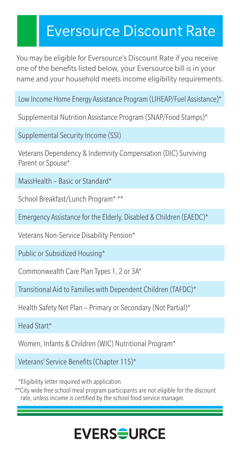## Eversource Discount Rate

You may be eligible for Eversource's Discount Rate if you receive one of the benefits listed below, your Eversource bill is in your name and your household meets income eligibility requirements.

Low Income Home Energy Assistance Program (LIHEAP/Fuel Assistance)\*

Supplemental Nutrition Assistance Program (SNAP/Food Stamps)\*

Supplemental Security Income (SSI)

Veterans Dependency & Indemnity Compensation (DIC) Surviving Parent or Spouse\*

MassHealth – Basic or Standard\*

School Breakfast/Lunch Program\* \*\*

Emergency Assistance for the Elderly, Disabled & Children (EAEDC)\*

Veterans Non-Service Disability Pension\*

Public or Subsidized Housing\*

Commonwealth Care Plan Types 1, 2 or 3A\*

Transitional Aid to Families with Dependent Children (TAFDC)\*

Health Safety Net Plan – Primary or Secondary (Not Partial)\*

Head Start\*

Women, Infants & Children (WIC) Nutritional Program\*

Veterans' Service Benefits (Chapter 115)\*

\*Eligibility letter required with application.

\*\*City wide free school meal program participants are not eligible for the discount rate, unless income is certified by the school food service manager.

## **EVERS<del>S</del>URCE**